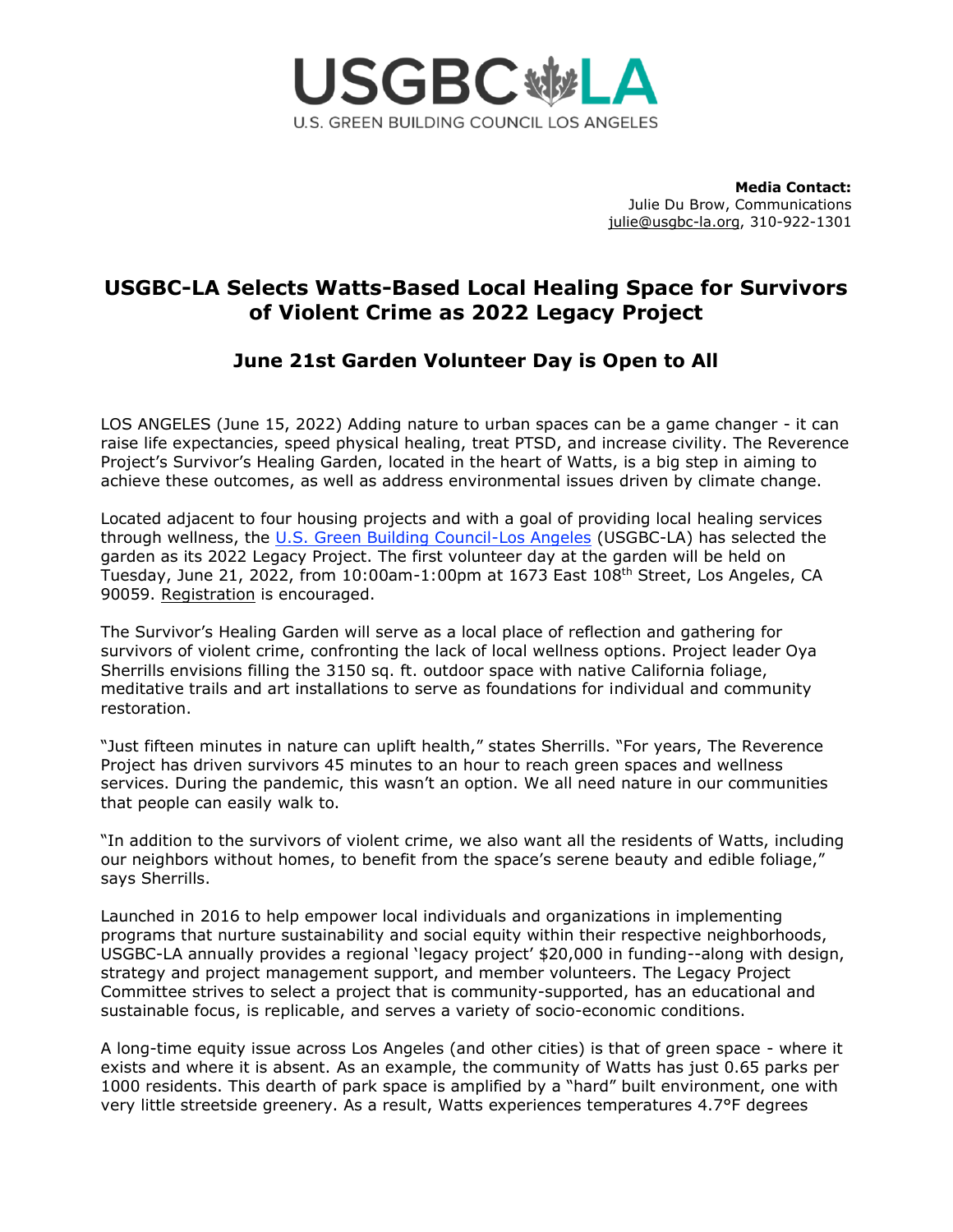

**Media Contact:** Julie Du Brow, Communications [julie@usgbc-la.org,](mailto:julie@usgbc-la.org) 310-922-1301

# **USGBC-LA Selects Watts-Based Local Healing Space for Survivors of Violent Crime as 2022 Legacy Project**

## **June 21st Garden Volunteer Day is Open to All**

LOS ANGELES (June 15, 2022) Adding nature to urban spaces can be a game changer - it can raise life expectancies, speed physical healing, treat PTSD, and increase civility. The Reverence Project's Survivor's Healing Garden, located in the heart of Watts, is a big step in aiming to achieve these outcomes, as well as address environmental issues driven by climate change.

Located adjacent to four housing projects and with a goal of providing local healing services through wellness, the [U.S. Green Building Council-Los Angeles](https://usgbc-la.org/) (USGBC-LA) has selected the garden as its 2022 Legacy Project. The first volunteer day at the garden will be held on Tuesday, June 21, 2022, from  $10:00$ am-1:00pm at 1673 East  $108<sup>th</sup>$  Street, Los Angeles, CA 90059. [Registration](https://www.eventbrite.com/e/usgbc-la-the-reverence-projects-survivors-healing-garden-volunteer-day-tickets-354849844437) is encouraged.

The Survivor's Healing Garden will serve as a local place of reflection and gathering for survivors of violent crime, confronting the lack of local wellness options. Project leader Oya Sherrills envisions filling the 3150 sq. ft. outdoor space with native California foliage, meditative trails and art installations to serve as foundations for individual and community restoration.

"Just fifteen minutes in nature can uplift health," states Sherrills. "For years, The Reverence Project has driven survivors 45 minutes to an hour to reach green spaces and wellness services. During the pandemic, this wasn't an option. We all need nature in our communities that people can easily walk to.

"In addition to the survivors of violent crime, we also want all the residents of Watts, including our neighbors without homes, to benefit from the space's serene beauty and edible foliage," says Sherrills.

Launched in 2016 to help empower local individuals and organizations in implementing programs that nurture sustainability and social equity within their respective neighborhoods, USGBC-LA annually provides a regional 'legacy project' \$20,000 in funding--along with design, strategy and project management support, and member volunteers. The Legacy Project Committee strives to select a project that is community-supported, has an educational and sustainable focus, is replicable, and serves a variety of socio-economic conditions.

A long-time equity issue across Los Angeles (and other cities) is that of green space - where it exists and where it is absent. As an example, the community of Watts has just 0.65 parks per 1000 residents. This dearth of park space is amplified by a "hard" built environment, one with very little streetside greenery. As a result, Watts experiences temperatures 4.7°F degrees